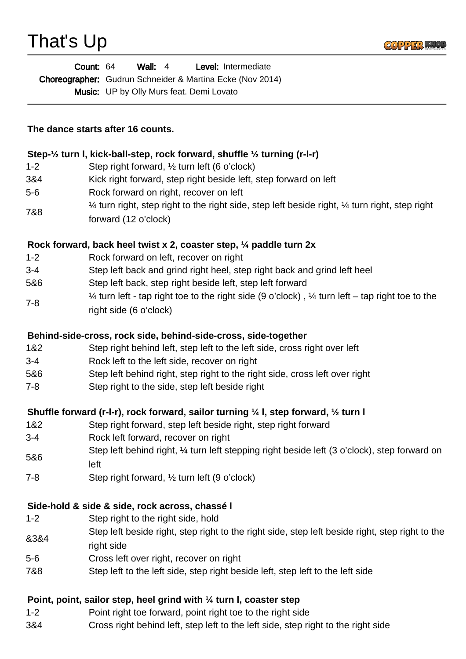

| <b>Count: 64</b>                                                 | Wall: $4$ |                                                 | <b>Level:</b> Intermediate |
|------------------------------------------------------------------|-----------|-------------------------------------------------|----------------------------|
| <b>Choreographer:</b> Gudrun Schneider & Martina Ecke (Nov 2014) |           |                                                 |                            |
|                                                                  |           | <b>Music:</b> UP by Olly Murs feat. Demi Lovato |                            |

**The dance starts after 16 counts.**

### **Step-½ turn l, kick-ball-step, rock forward, shuffle ½ turning (r-l-r)**

- 1-2 Step right forward, ½ turn left (6 o'clock)
- 3&4 Kick right forward, step right beside left, step forward on left
- 5-6 Rock forward on right, recover on left
- 7&8  $\frac{1}{4}$  turn right, step right to the right side, step left beside right,  $\frac{1}{4}$  turn right, step right forward (12 o'clock)

### **Rock forward, back heel twist x 2, coaster step, ¼ paddle turn 2x**

- 1-2 Rock forward on left, recover on right
- 3-4 Step left back and grind right heel, step right back and grind left heel
- 5&6 Step left back, step right beside left, step left forward
- 7-8  $\frac{1}{4}$  turn left - tap right toe to the right side (9 o'clock),  $\frac{1}{4}$  turn left – tap right toe to the right side (6 o'clock)

### **Behind-side-cross, rock side, behind-side-cross, side-together**

- 1&2 Step right behind left, step left to the left side, cross right over left
- 3-4 Rock left to the left side, recover on right
- 5&6 Step left behind right, step right to the right side, cross left over right
- 7-8 Step right to the side, step left beside right

### **Shuffle forward (r-l-r), rock forward, sailor turning ¼ l, step forward, ½ turn l**

- 1&2 Step right forward, step left beside right, step right forward
- 3-4 Rock left forward, recover on right
- 5&6 Step left behind right,  $\frac{1}{4}$  turn left stepping right beside left (3 o'clock), step forward on left
- 7-8 Step right forward, ½ turn left (9 o'clock)

### **Side-hold & side & side, rock across, chassé l**

- 1-2 Step right to the right side, hold
- &3&4 Step left beside right, step right to the right side, step left beside right, step right to the right side
- 5-6 Cross left over right, recover on right
- 7&8 Step left to the left side, step right beside left, step left to the left side

### **Point, point, sailor step, heel grind with ¼ turn l, coaster step**

- 1-2 Point right toe forward, point right toe to the right side
- 3&4 Cross right behind left, step left to the left side, step right to the right side